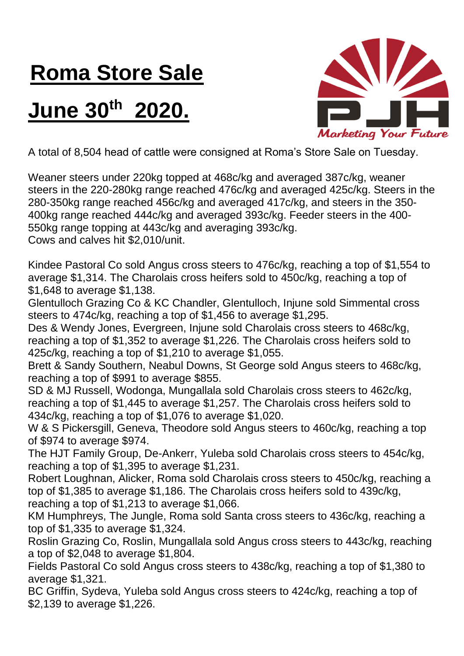## **Roma Store Sale**

## **June 30th 2020.**



A total of 8,504 head of cattle were consigned at Roma's Store Sale on Tuesday.

Weaner steers under 220kg topped at 468c/kg and averaged 387c/kg, weaner steers in the 220-280kg range reached 476c/kg and averaged 425c/kg. Steers in the 280-350kg range reached 456c/kg and averaged 417c/kg, and steers in the 350- 400kg range reached 444c/kg and averaged 393c/kg. Feeder steers in the 400- 550kg range topping at 443c/kg and averaging 393c/kg.

Cows and calves hit \$2,010/unit.

Kindee Pastoral Co sold Angus cross steers to 476c/kg, reaching a top of \$1,554 to average \$1,314. The Charolais cross heifers sold to 450c/kg, reaching a top of \$1,648 to average \$1,138.

Glentulloch Grazing Co & KC Chandler, Glentulloch, Injune sold Simmental cross steers to 474c/kg, reaching a top of \$1,456 to average \$1,295.

Des & Wendy Jones, Evergreen, Injune sold Charolais cross steers to 468c/kg, reaching a top of \$1,352 to average \$1,226. The Charolais cross heifers sold to 425c/kg, reaching a top of \$1,210 to average \$1,055.

Brett & Sandy Southern, Neabul Downs, St George sold Angus steers to 468c/kg, reaching a top of \$991 to average \$855.

SD & MJ Russell, Wodonga, Mungallala sold Charolais cross steers to 462c/kg, reaching a top of \$1,445 to average \$1,257. The Charolais cross heifers sold to 434c/kg, reaching a top of \$1,076 to average \$1,020.

W & S Pickersgill, Geneva, Theodore sold Angus steers to 460c/kg, reaching a top of \$974 to average \$974.

The HJT Family Group, De-Ankerr, Yuleba sold Charolais cross steers to 454c/kg, reaching a top of \$1,395 to average \$1,231.

Robert Loughnan, Alicker, Roma sold Charolais cross steers to 450c/kg, reaching a top of \$1,385 to average \$1,186. The Charolais cross heifers sold to 439c/kg, reaching a top of \$1,213 to average \$1,066.

KM Humphreys, The Jungle, Roma sold Santa cross steers to 436c/kg, reaching a top of \$1,335 to average \$1,324.

Roslin Grazing Co, Roslin, Mungallala sold Angus cross steers to 443c/kg, reaching a top of \$2,048 to average \$1,804.

Fields Pastoral Co sold Angus cross steers to 438c/kg, reaching a top of \$1,380 to average \$1,321.

BC Griffin, Sydeva, Yuleba sold Angus cross steers to 424c/kg, reaching a top of \$2,139 to average \$1,226.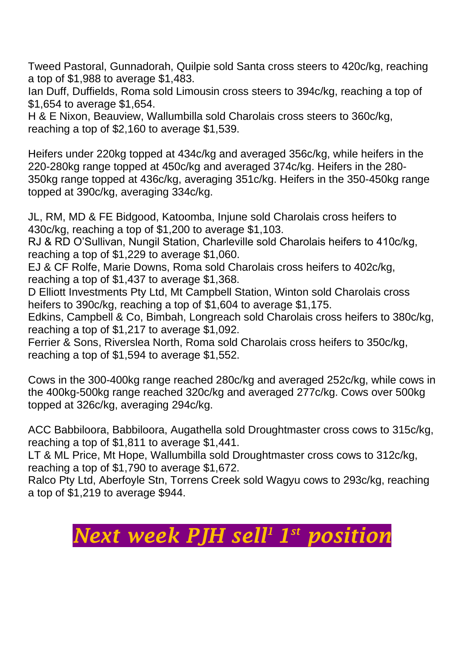Tweed Pastoral, Gunnadorah, Quilpie sold Santa cross steers to 420c/kg, reaching a top of \$1,988 to average \$1,483.

Ian Duff, Duffields, Roma sold Limousin cross steers to 394c/kg, reaching a top of \$1,654 to average \$1,654.

H & E Nixon, Beauview, Wallumbilla sold Charolais cross steers to 360c/kg, reaching a top of \$2,160 to average \$1,539.

Heifers under 220kg topped at 434c/kg and averaged 356c/kg, while heifers in the 220-280kg range topped at 450c/kg and averaged 374c/kg. Heifers in the 280- 350kg range topped at 436c/kg, averaging 351c/kg. Heifers in the 350-450kg range topped at 390c/kg, averaging 334c/kg.

JL, RM, MD & FE Bidgood, Katoomba, Injune sold Charolais cross heifers to 430c/kg, reaching a top of \$1,200 to average \$1,103.

RJ & RD O'Sullivan, Nungil Station, Charleville sold Charolais heifers to 410c/kg, reaching a top of \$1,229 to average \$1,060.

EJ & CF Rolfe, Marie Downs, Roma sold Charolais cross heifers to 402c/kg, reaching a top of \$1,437 to average \$1,368.

D Elliott Investments Pty Ltd, Mt Campbell Station, Winton sold Charolais cross heifers to 390c/kg, reaching a top of \$1,604 to average \$1,175.

Edkins, Campbell & Co, Bimbah, Longreach sold Charolais cross heifers to 380c/kg, reaching a top of \$1,217 to average \$1,092.

Ferrier & Sons, Riverslea North, Roma sold Charolais cross heifers to 350c/kg, reaching a top of \$1,594 to average \$1,552.

Cows in the 300-400kg range reached 280c/kg and averaged 252c/kg, while cows in the 400kg-500kg range reached 320c/kg and averaged 277c/kg. Cows over 500kg topped at 326c/kg, averaging 294c/kg.

ACC Babbiloora, Babbiloora, Augathella sold Droughtmaster cross cows to 315c/kg, reaching a top of \$1,811 to average \$1,441.

LT & ML Price, Mt Hope, Wallumbilla sold Droughtmaster cross cows to 312c/kg, reaching a top of \$1,790 to average \$1,672.

Ralco Pty Ltd, Aberfoyle Stn, Torrens Creek sold Wagyu cows to 293c/kg, reaching a top of \$1,219 to average \$944.

## *Next week PJH sell <sup>1</sup>1 st position*